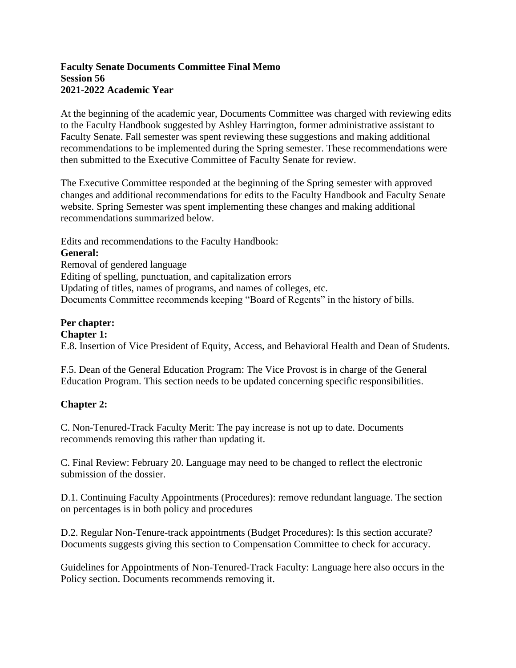#### **Faculty Senate Documents Committee Final Memo Session 56 2021-2022 Academic Year**

At the beginning of the academic year, Documents Committee was charged with reviewing edits to the Faculty Handbook suggested by Ashley Harrington, former administrative assistant to Faculty Senate. Fall semester was spent reviewing these suggestions and making additional recommendations to be implemented during the Spring semester. These recommendations were then submitted to the Executive Committee of Faculty Senate for review.

The Executive Committee responded at the beginning of the Spring semester with approved changes and additional recommendations for edits to the Faculty Handbook and Faculty Senate website. Spring Semester was spent implementing these changes and making additional recommendations summarized below.

Edits and recommendations to the Faculty Handbook: **General:** Removal of gendered language Editing of spelling, punctuation, and capitalization errors Updating of titles, names of programs, and names of colleges, etc. Documents Committee recommends keeping "Board of Regents" in the history of bills.

#### **Per chapter: Chapter 1:**

E.8. Insertion of Vice President of Equity, Access, and Behavioral Health and Dean of Students.

F.5. Dean of the General Education Program: The Vice Provost is in charge of the General Education Program. This section needs to be updated concerning specific responsibilities.

# **Chapter 2:**

C. Non-Tenured-Track Faculty Merit: The pay increase is not up to date. Documents recommends removing this rather than updating it.

C. Final Review: February 20. Language may need to be changed to reflect the electronic submission of the dossier.

D.1. Continuing Faculty Appointments (Procedures): remove redundant language. The section on percentages is in both policy and procedures

D.2. Regular Non-Tenure-track appointments (Budget Procedures): Is this section accurate? Documents suggests giving this section to Compensation Committee to check for accuracy.

Guidelines for Appointments of Non-Tenured-Track Faculty: Language here also occurs in the Policy section. Documents recommends removing it.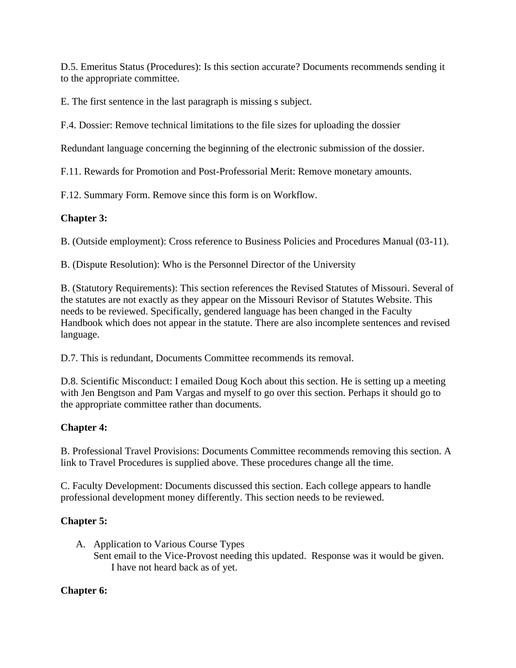D.5. Emeritus Status (Procedures): Is this section accurate? Documents recommends sending it to the appropriate committee.

E. The first sentence in the last paragraph is missing s subject.

F.4. Dossier: Remove technical limitations to the file sizes for uploading the dossier

Redundant language concerning the beginning of the electronic submission of the dossier.

F.11. Rewards for Promotion and Post-Professorial Merit: Remove monetary amounts.

F.12. Summary Form. Remove since this form is on Workflow.

### **Chapter 3:**

B. (Outside employment): Cross reference to Business Policies and Procedures Manual (03-11).

B. (Dispute Resolution): Who is the Personnel Director of the University

B. (Statutory Requirements): This section references the Revised Statutes of Missouri. Several of the statutes are not exactly as they appear on the Missouri Revisor of Statutes Website. This needs to be reviewed. Specifically, gendered language has been changed in the Faculty Handbook which does not appear in the statute. There are also incomplete sentences and revised language.

D.7. This is redundant, Documents Committee recommends its removal.

D.8. Scientific Misconduct: I emailed Doug Koch about this section. He is setting up a meeting with Jen Bengtson and Pam Vargas and myself to go over this section. Perhaps it should go to the appropriate committee rather than documents.

# **Chapter 4:**

B. Professional Travel Provisions: Documents Committee recommends removing this section. A link to Travel Procedures is supplied above. These procedures change all the time.

C. Faculty Development: Documents discussed this section. Each college appears to handle professional development money differently. This section needs to be reviewed.

# **Chapter 5:**

A. Application to Various Course Types Sent email to the Vice-Provost needing this updated. Response was it would be given. I have not heard back as of yet.

# **Chapter 6:**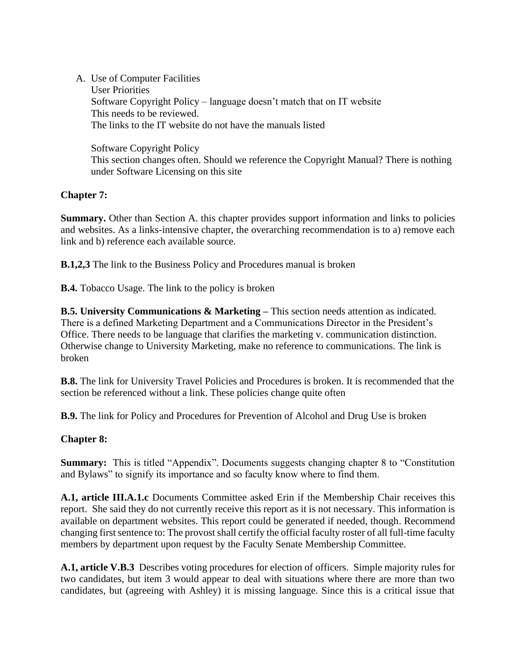### A. Use of Computer Facilities

User Priorities Software Copyright Policy – language doesn't match that on IT website This needs to be reviewed. The links to the IT website do not have the manuals listed

Software Copyright Policy This section changes often. Should we reference the Copyright Manual? There is nothing under Software Licensing on this site

### **Chapter 7:**

**Summary.** Other than Section A. this chapter provides support information and links to policies and websites. As a links-intensive chapter, the overarching recommendation is to a) remove each link and b) reference each available source.

**B.1,2,3** The link to the Business Policy and Procedures manual is broken

**B.4.** Tobacco Usage. The link to the policy is broken

**B.5. University Communications & Marketing –** This section needs attention as indicated. There is a defined Marketing Department and a Communications Director in the President's Office. There needs to be language that clarifies the marketing v. communication distinction. Otherwise change to University Marketing, make no reference to communications. The link is broken

**B.8.** The link for University Travel Policies and Procedures is broken. It is recommended that the section be referenced without a link. These policies change quite often

**B.9.** The link for Policy and Procedures for Prevention of Alcohol and Drug Use is broken

### **Chapter 8:**

**Summary:** This is titled "Appendix". Documents suggests changing chapter 8 to "Constitution" and Bylaws" to signify its importance and so faculty know where to find them.

**A.1, article III.A.1.c** Documents Committee asked Erin if the Membership Chair receives this report. She said they do not currently receive this report as it is not necessary. This information is available on department websites. This report could be generated if needed, though. Recommend changing first sentence to: The provost shall certify the official faculty roster of all full-time faculty members by department upon request by the Faculty Senate Membership Committee.

**A.1, article V.B.3** Describes voting procedures for election of officers. Simple majority rules for two candidates, but item 3 would appear to deal with situations where there are more than two candidates, but (agreeing with Ashley) it is missing language. Since this is a critical issue that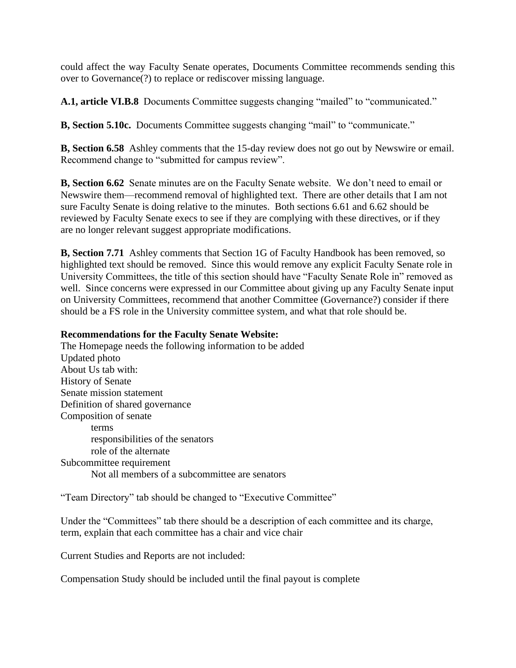could affect the way Faculty Senate operates, Documents Committee recommends sending this over to Governance(?) to replace or rediscover missing language.

**A.1, article VI.B.8** Documents Committee suggests changing "mailed" to "communicated."

**B, Section 5.10c.** Documents Committee suggests changing "mail" to "communicate."

**B, Section 6.58** Ashley comments that the 15-day review does not go out by Newswire or email. Recommend change to "submitted for campus review".

**B, Section 6.62** Senate minutes are on the Faculty Senate website. We don't need to email or Newswire them—recommend removal of highlighted text. There are other details that I am not sure Faculty Senate is doing relative to the minutes. Both sections 6.61 and 6.62 should be reviewed by Faculty Senate execs to see if they are complying with these directives, or if they are no longer relevant suggest appropriate modifications.

**B, Section 7.71** Ashley comments that Section 1G of Faculty Handbook has been removed, so highlighted text should be removed. Since this would remove any explicit Faculty Senate role in University Committees, the title of this section should have "Faculty Senate Role in" removed as well. Since concerns were expressed in our Committee about giving up any Faculty Senate input on University Committees, recommend that another Committee (Governance?) consider if there should be a FS role in the University committee system, and what that role should be.

#### **Recommendations for the Faculty Senate Website:**

The Homepage needs the following information to be added Updated photo About Us tab with: History of Senate Senate mission statement Definition of shared governance Composition of senate terms responsibilities of the senators role of the alternate Subcommittee requirement Not all members of a subcommittee are senators

"Team Directory" tab should be changed to "Executive Committee"

Under the "Committees" tab there should be a description of each committee and its charge, term, explain that each committee has a chair and vice chair

Current Studies and Reports are not included:

Compensation Study should be included until the final payout is complete